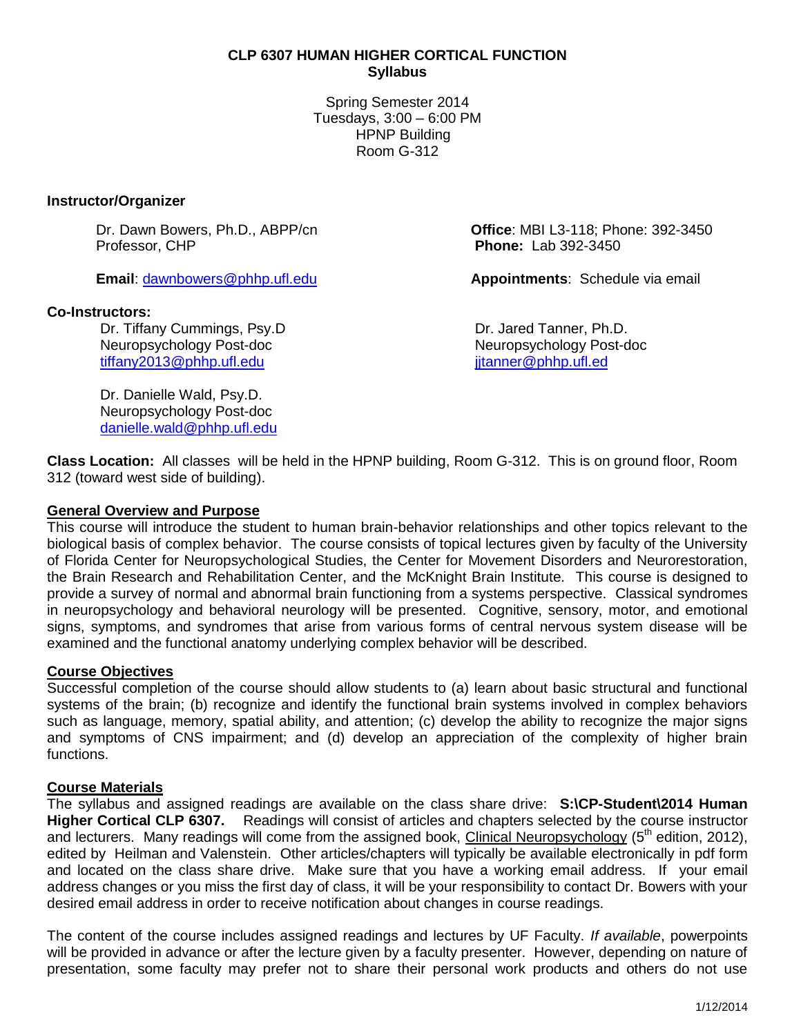## **CLP 6307 HUMAN HIGHER CORTICAL FUNCTION Syllabus**

Spring Semester 2014 Tuesdays, 3:00 – 6:00 PM HPNP Building Room G-312

#### **Instructor/Organizer**

Professor, CHP **Phone:** Lab 392-3450

## **Co-Instructors:**

Dr. Tiffany Cummings, Psy.D **Dr. State State State Control** Dr. Jared Tanner, Ph.D. Neuropsychology Post-doc Neuropsychology Post-doc [tiffany2013@phhp.ufl.edu](mailto:tiffany2013@phhp.ufl.edu) is a set of the set of the set of the set of the set of the set of the set of the set o

Dr. Danielle Wald, Psy.D. Neuropsychology Post-doc [danielle.wald@phhp.ufl.edu](mailto:danielle.wald@phhp.ufl.edu)

Dr. Dawn Bowers, Ph.D., ABPP/cn **Office**: MBI L3-118; Phone: 392-3450

**Email**: [dawnbowers@phhp.ufl.edu](mailto:dawnbowers@phhp.ufl.edu) **Appointments**: Schedule via email

**Class Location:** All classes will be held in the HPNP building, Room G-312. This is on ground floor, Room 312 (toward west side of building).

## **General Overview and Purpose**

This course will introduce the student to human brain-behavior relationships and other topics relevant to the biological basis of complex behavior. The course consists of topical lectures given by faculty of the University of Florida Center for Neuropsychological Studies, the Center for Movement Disorders and Neurorestoration, the Brain Research and Rehabilitation Center, and the McKnight Brain Institute. This course is designed to provide a survey of normal and abnormal brain functioning from a systems perspective. Classical syndromes in neuropsychology and behavioral neurology will be presented. Cognitive, sensory, motor, and emotional signs, symptoms, and syndromes that arise from various forms of central nervous system disease will be examined and the functional anatomy underlying complex behavior will be described.

#### **Course Objectives**

Successful completion of the course should allow students to (a) learn about basic structural and functional systems of the brain; (b) recognize and identify the functional brain systems involved in complex behaviors such as language, memory, spatial ability, and attention; (c) develop the ability to recognize the major signs and symptoms of CNS impairment; and (d) develop an appreciation of the complexity of higher brain functions.

#### **Course Materials**

The syllabus and assigned readings are available on the class share drive: **S:\CP-Student\2014 Human Higher Cortical CLP 6307.** Readings will consist of articles and chapters selected by the course instructor and lecturers. Many readings will come from the assigned book, Clinical Neuropsychology (5<sup>th</sup> edition, 2012), edited by Heilman and Valenstein. Other articles/chapters will typically be available electronically in pdf form and located on the class share drive. Make sure that you have a working email address. If your email address changes or you miss the first day of class, it will be your responsibility to contact Dr. Bowers with your desired email address in order to receive notification about changes in course readings.

The content of the course includes assigned readings and lectures by UF Faculty. *If available*, powerpoints will be provided in advance or after the lecture given by a faculty presenter. However, depending on nature of presentation, some faculty may prefer not to share their personal work products and others do not use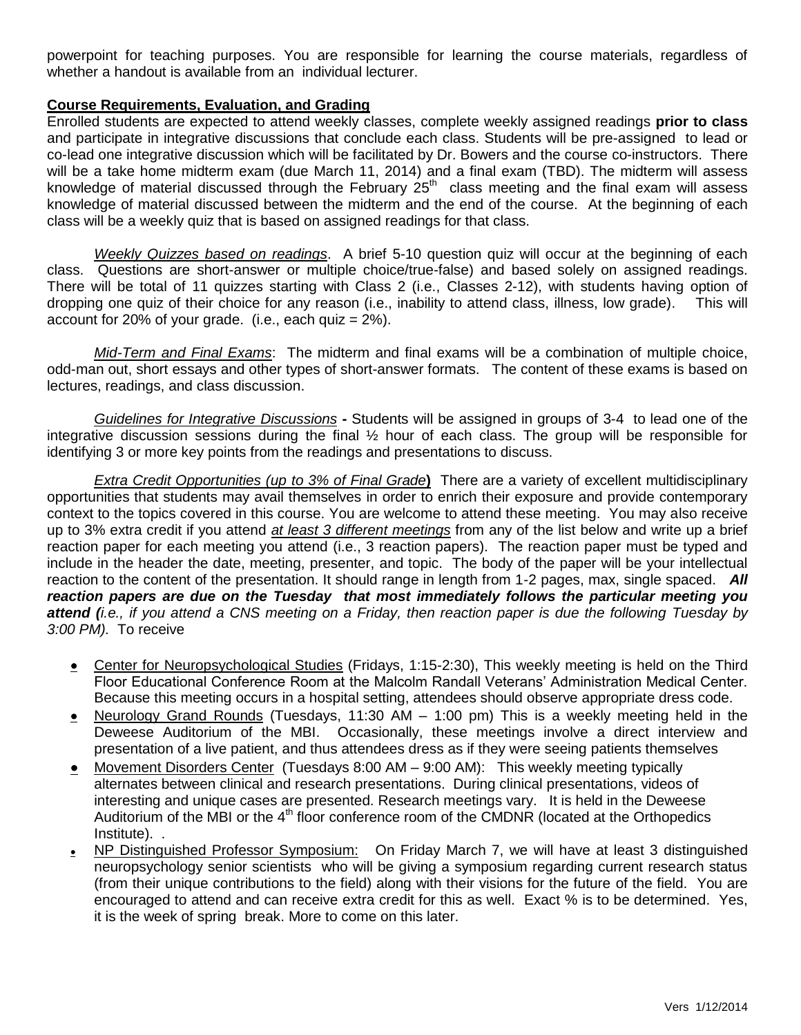powerpoint for teaching purposes. You are responsible for learning the course materials, regardless of whether a handout is available from an individual lecturer.

## **Course Requirements, Evaluation, and Grading**

Enrolled students are expected to attend weekly classes, complete weekly assigned readings **prior to class** and participate in integrative discussions that conclude each class. Students will be pre-assigned to lead or co-lead one integrative discussion which will be facilitated by Dr. Bowers and the course co-instructors. There will be a take home midterm exam (due March 11, 2014) and a final exam (TBD). The midterm will assess knowledge of material discussed through the February  $25<sup>th</sup>$  class meeting and the final exam will assess knowledge of material discussed between the midterm and the end of the course. At the beginning of each class will be a weekly quiz that is based on assigned readings for that class.

*Weekly Quizzes based on readings*. A brief 5-10 question quiz will occur at the beginning of each class. Questions are short-answer or multiple choice/true-false) and based solely on assigned readings. There will be total of 11 quizzes starting with Class 2 (i.e., Classes 2-12), with students having option of dropping one quiz of their choice for any reason (i.e., inability to attend class, illness, low grade). This will account for 20% of your grade. (i.e., each quiz  $= 2\%$ ).

*Mid-Term and Final Exams*: The midterm and final exams will be a combination of multiple choice, odd-man out, short essays and other types of short-answer formats. The content of these exams is based on lectures, readings, and class discussion.

*Guidelines for Integrative Discussions* **-** Students will be assigned in groups of 3-4 to lead one of the integrative discussion sessions during the final ½ hour of each class. The group will be responsible for identifying 3 or more key points from the readings and presentations to discuss.

*Extra Credit Opportunities (up to 3% of Final Grade***)** There are a variety of excellent multidisciplinary opportunities that students may avail themselves in order to enrich their exposure and provide contemporary context to the topics covered in this course. You are welcome to attend these meeting. You may also receive up to 3% extra credit if you attend *at least 3 different meetings* from any of the list below and write up a brief reaction paper for each meeting you attend (i.e., 3 reaction papers). The reaction paper must be typed and include in the header the date, meeting, presenter, and topic. The body of the paper will be your intellectual reaction to the content of the presentation. It should range in length from 1-2 pages, max, single spaced. *All reaction papers are due on the Tuesday that most immediately follows the particular meeting you attend (i.e., if you attend a CNS meeting on a Friday, then reaction paper is due the following Tuesday by 3:00 PM).* To receive

- Center for Neuropsychological Studies (Fridays, 1:15-2:30), This weekly meeting is held on the Third Floor Educational Conference Room at the Malcolm Randall Veterans' Administration Medical Center. Because this meeting occurs in a hospital setting, attendees should observe appropriate dress code.
- Neurology Grand Rounds (Tuesdays, 11:30 AM 1:00 pm) This is a weekly meeting held in the Deweese Auditorium of the MBI. Occasionally, these meetings involve a direct interview and presentation of a live patient, and thus attendees dress as if they were seeing patients themselves
- Movement Disorders Center (Tuesdays 8:00 AM 9:00 AM): This weekly meeting typically alternates between clinical and research presentations. During clinical presentations, videos of interesting and unique cases are presented. Research meetings vary. It is held in the Deweese Auditorium of the MBI or the 4<sup>th</sup> floor conference room of the CMDNR (located at the Orthopedics Institute). .
- NP Distinguished Professor Symposium: On Friday March 7, we will have at least 3 distinguished neuropsychology senior scientists who will be giving a symposium regarding current research status (from their unique contributions to the field) along with their visions for the future of the field. You are encouraged to attend and can receive extra credit for this as well. Exact % is to be determined. Yes, it is the week of spring break. More to come on this later.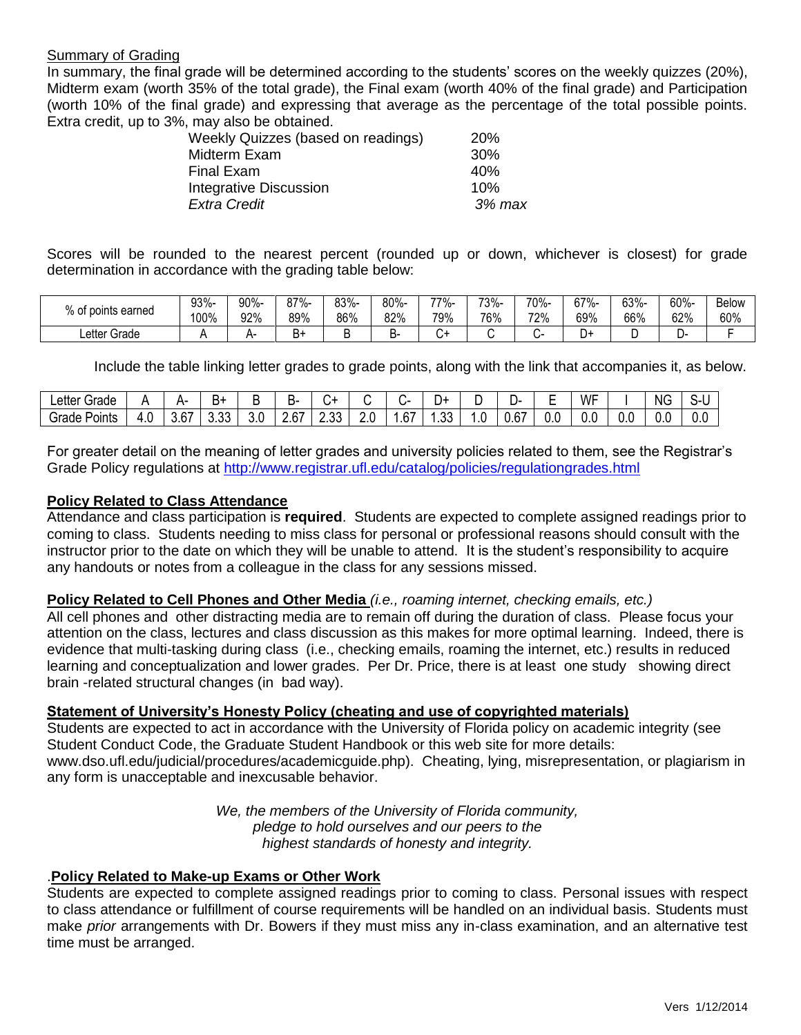### Summary of Grading

In summary, the final grade will be determined according to the students' scores on the weekly quizzes (20%), Midterm exam (worth 35% of the total grade), the Final exam (worth 40% of the final grade) and Participation (worth 10% of the final grade) and expressing that average as the percentage of the total possible points. Extra credit, up to 3%, may also be obtained.

| Weekly Quizzes (based on readings) | <b>20%</b> |
|------------------------------------|------------|
| Midterm Exam                       | 30%        |
| Final Exam                         | 40%        |
| <b>Integrative Discussion</b>      | 10%        |
| <b>Extra Credit</b>                | 3% max     |
|                                    |            |

Scores will be rounded to the nearest percent (rounded up or down, whichever is closest) for grade determination in accordance with the grading table below:

| of points earned  | 93%-<br>100% | 90%-<br>92% | 87%-<br>89% | 83%-<br>86% | 80%<br>920/<br>OZ 70 | 77%-<br>70%<br>$\mathsf{v}$ | 73%-<br>76% | 70%-<br>72% | $37\%$<br>01<br>69% | 63%-<br>66% | 60%-<br>300/<br>OZ 70 | <b>Below</b><br>60% |
|-------------------|--------------|-------------|-------------|-------------|----------------------|-----------------------------|-------------|-------------|---------------------|-------------|-----------------------|---------------------|
| Letter C<br>Grade |              |             | ь٠          |             |                      | -ر                          |             |             | +ر                  |             | --                    |                     |

Include the table linking letter grades to grade points, along with the link that accompanies it, as below.

| $\mathsf{c}$ etter $\mathsf{\Gamma}$<br>Grade |     | ⊶-             | <u>.</u><br>ים |     | -              |                |                          |               | ⊣ل            | L   | - ل            | -<br>. .<br>_ | WF  |     | <b>NG</b> | ⌒<br>ヽー |
|-----------------------------------------------|-----|----------------|----------------|-----|----------------|----------------|--------------------------|---------------|---------------|-----|----------------|---------------|-----|-----|-----------|---------|
| $\sim$<br>Grade<br>Points                     | ט.ד | $\sim$<br>3.D/ | ົ<br>v.vv      | 3.0 | $\sim$<br>2.61 | $\sim$<br>∠.∪∪ | $\overline{\phantom{a}}$ | $\sim$<br>.67 | $\sim$<br>…ບບ | . U | $\sim$<br>J.OT | v.v           | v.v | U.C | v.v       | v.v     |

For greater detail on the meaning of letter grades and university policies related to them, see the Registrar's Grade Policy regulations at<http://www.registrar.ufl.edu/catalog/policies/regulationgrades.html>

## **Policy Related to Class Attendance**

Attendance and class participation is **required**. Students are expected to complete assigned readings prior to coming to class. Students needing to miss class for personal or professional reasons should consult with the instructor prior to the date on which they will be unable to attend. It is the student's responsibility to acquire any handouts or notes from a colleague in the class for any sessions missed.

#### **Policy Related to Cell Phones and Other Media** *(i.e., roaming internet, checking emails, etc.)*

All cell phones and other distracting media are to remain off during the duration of class. Please focus your attention on the class, lectures and class discussion as this makes for more optimal learning. Indeed, there is evidence that multi-tasking during class (i.e., checking emails, roaming the internet, etc.) results in reduced learning and conceptualization and lower grades. Per Dr. Price, there is at least one study showing direct brain -related structural changes (in bad way).

## **Statement of University's Honesty Policy (cheating and use of copyrighted materials)**

Students are expected to act in accordance with the University of Florida policy on academic integrity (see Student Conduct Code, the Graduate Student Handbook or this web site for more details: www.dso.ufl.edu/judicial/procedures/academicguide.php). Cheating, lying, misrepresentation, or plagiarism in any form is unacceptable and inexcusable behavior.

> *We, the members of the University of Florida community, pledge to hold ourselves and our peers to the highest standards of honesty and integrity.*

#### .**Policy Related to Make-up Exams or Other Work**

Students are expected to complete assigned readings prior to coming to class. Personal issues with respect to class attendance or fulfillment of course requirements will be handled on an individual basis. Students must make *prior* arrangements with Dr. Bowers if they must miss any in-class examination, and an alternative test time must be arranged.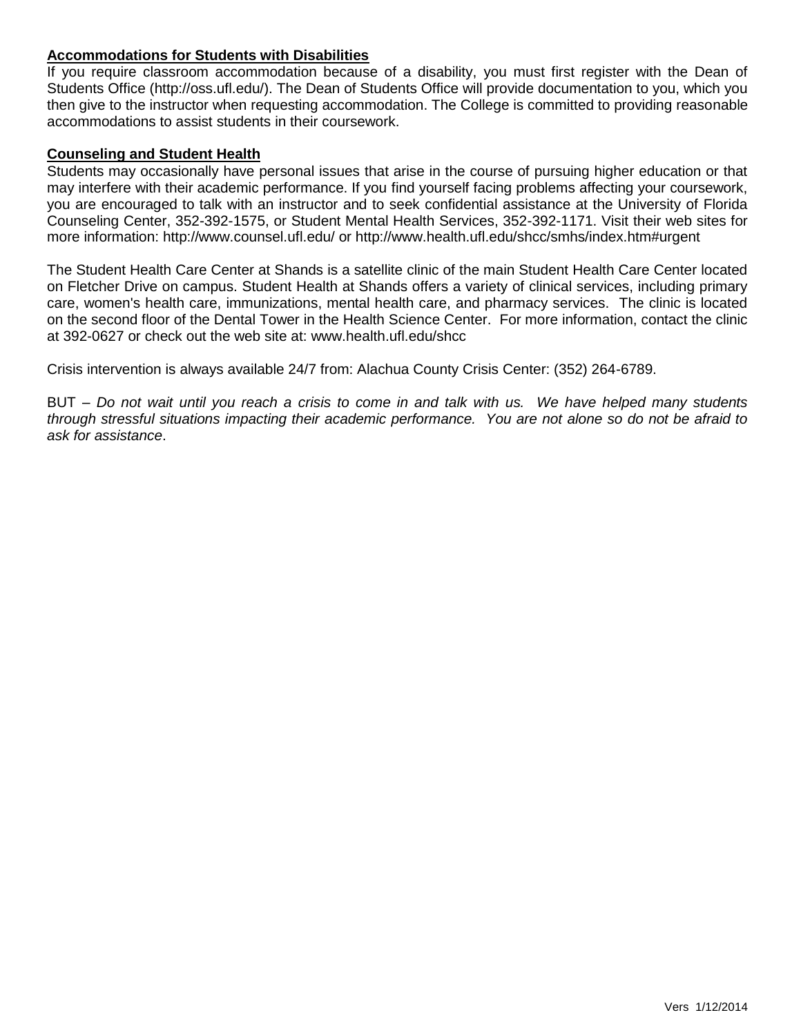## **Accommodations for Students with Disabilities**

If you require classroom accommodation because of a disability, you must first register with the Dean of Students Office (http://oss.ufl.edu/). The Dean of Students Office will provide documentation to you, which you then give to the instructor when requesting accommodation. The College is committed to providing reasonable accommodations to assist students in their coursework.

#### **Counseling and Student Health**

Students may occasionally have personal issues that arise in the course of pursuing higher education or that may interfere with their academic performance. If you find yourself facing problems affecting your coursework, you are encouraged to talk with an instructor and to seek confidential assistance at the University of Florida Counseling Center, 352-392-1575, or Student Mental Health Services, 352-392-1171. Visit their web sites for more information: http://www.counsel.ufl.edu/ or http://www.health.ufl.edu/shcc/smhs/index.htm#urgent

The Student Health Care Center at Shands is a satellite clinic of the main Student Health Care Center located on Fletcher Drive on campus. Student Health at Shands offers a variety of clinical services, including primary care, women's health care, immunizations, mental health care, and pharmacy services. The clinic is located on the second floor of the Dental Tower in the Health Science Center. For more information, contact the clinic at 392-0627 or check out the web site at: www.health.ufl.edu/shcc

Crisis intervention is always available 24/7 from: Alachua County Crisis Center: (352) 264-6789.

BUT – *Do not wait until you reach a crisis to come in and talk with us. We have helped many students through stressful situations impacting their academic performance. You are not alone so do not be afraid to ask for assistance*.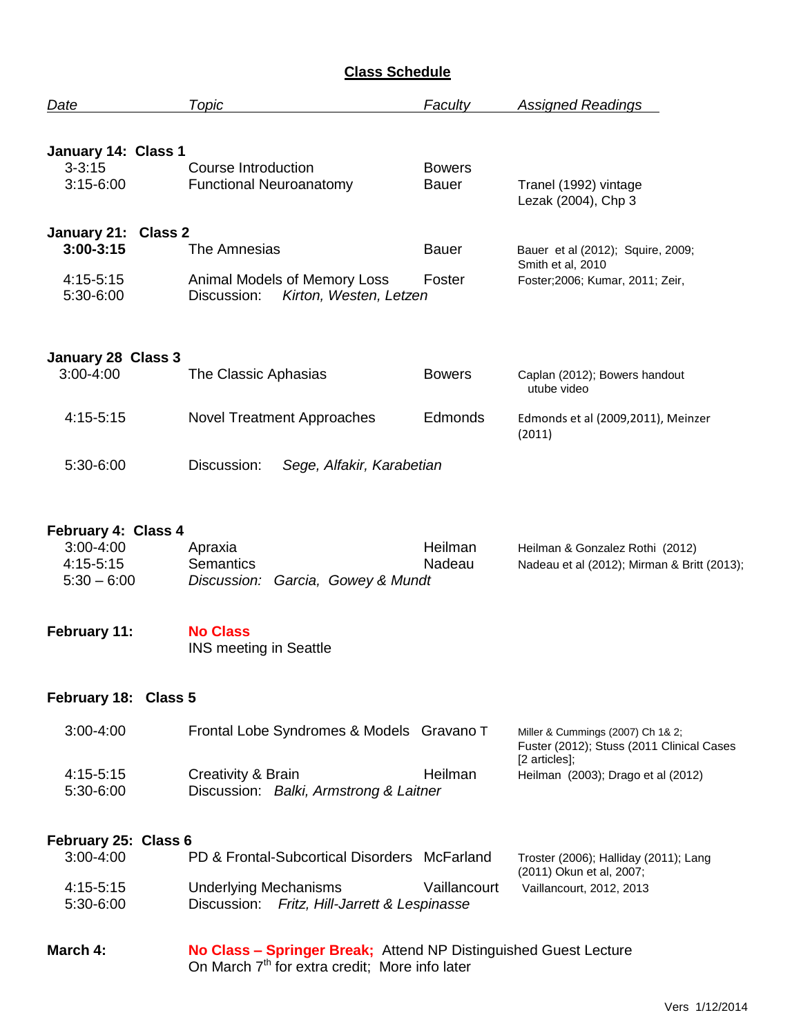# **Class Schedule**

| Date                                    | Topic                                                                                                                          | Faculty           | <b>Assigned Readings</b>                                                       |  |  |
|-----------------------------------------|--------------------------------------------------------------------------------------------------------------------------------|-------------------|--------------------------------------------------------------------------------|--|--|
|                                         |                                                                                                                                |                   |                                                                                |  |  |
| January 14: Class 1                     |                                                                                                                                | <b>Bowers</b>     |                                                                                |  |  |
| $3 - 3:15$<br>$3:15-6:00$               | Course Introduction<br><b>Functional Neuroanatomy</b>                                                                          |                   | Tranel (1992) vintage<br>Lezak (2004), Chp 3                                   |  |  |
| January 21:<br><b>Class 2</b>           |                                                                                                                                |                   |                                                                                |  |  |
| $3:00-3:15$                             | The Amnesias                                                                                                                   | <b>Bauer</b>      | Bauer et al (2012); Squire, 2009;<br>Smith et al, 2010                         |  |  |
| $4:15-5:15$<br>5:30-6:00                | Animal Models of Memory Loss<br>Kirton, Westen, Letzen<br>Discussion:                                                          | Foster            | Foster; 2006; Kumar, 2011; Zeir,                                               |  |  |
| January 28 Class 3                      |                                                                                                                                |                   |                                                                                |  |  |
| $3:00 - 4:00$                           | The Classic Aphasias                                                                                                           | <b>Bowers</b>     | Caplan (2012); Bowers handout<br>utube video                                   |  |  |
| 4:15-5:15                               | <b>Novel Treatment Approaches</b>                                                                                              | Edmonds           | Edmonds et al (2009,2011), Meinzer<br>(2011)                                   |  |  |
| 5:30-6:00                               | Discussion:<br>Sege, Alfakir, Karabetian                                                                                       |                   |                                                                                |  |  |
| February 4: Class 4                     |                                                                                                                                |                   |                                                                                |  |  |
| 3:00-4:00<br>4:15-5:15<br>$5:30 - 6:00$ | Apraxia<br><b>Semantics</b><br>Garcia, Gowey & Mundt<br>Discussion:                                                            | Heilman<br>Nadeau | Heilman & Gonzalez Rothi (2012)<br>Nadeau et al (2012); Mirman & Britt (2013); |  |  |
| February 11:                            | <b>No Class</b><br><b>INS meeting in Seattle</b>                                                                               |                   |                                                                                |  |  |
| February 18: Class 5                    |                                                                                                                                |                   |                                                                                |  |  |
| $3:00 - 4:00$                           | Frontal Lobe Syndromes & Models Gravano T                                                                                      |                   | Miller & Cummings (2007) Ch 1& 2;<br>Fuster (2012); Stuss (2011 Clinical Cases |  |  |
| 4:15-5:15<br>5:30-6:00                  | Creativity & Brain<br>Discussion: Balki, Armstrong & Laitner                                                                   | Heilman           | [2 articles];<br>Heilman (2003); Drago et al (2012)                            |  |  |
| February 25: Class 6                    |                                                                                                                                |                   |                                                                                |  |  |
| $3:00 - 4:00$                           | PD & Frontal-Subcortical Disorders McFarland                                                                                   |                   | Troster (2006); Halliday (2011); Lang<br>(2011) Okun et al, 2007;              |  |  |
| $4:15-5:15$<br>5:30-6:00                | <b>Underlying Mechanisms</b><br>Discussion: Fritz, Hill-Jarrett & Lespinasse                                                   | Vaillancourt      | Vaillancourt, 2012, 2013                                                       |  |  |
| March 4:                                | No Class - Springer Break; Attend NP Distinguished Guest Lecture<br>On March 7 <sup>th</sup> for extra credit; More info later |                   |                                                                                |  |  |